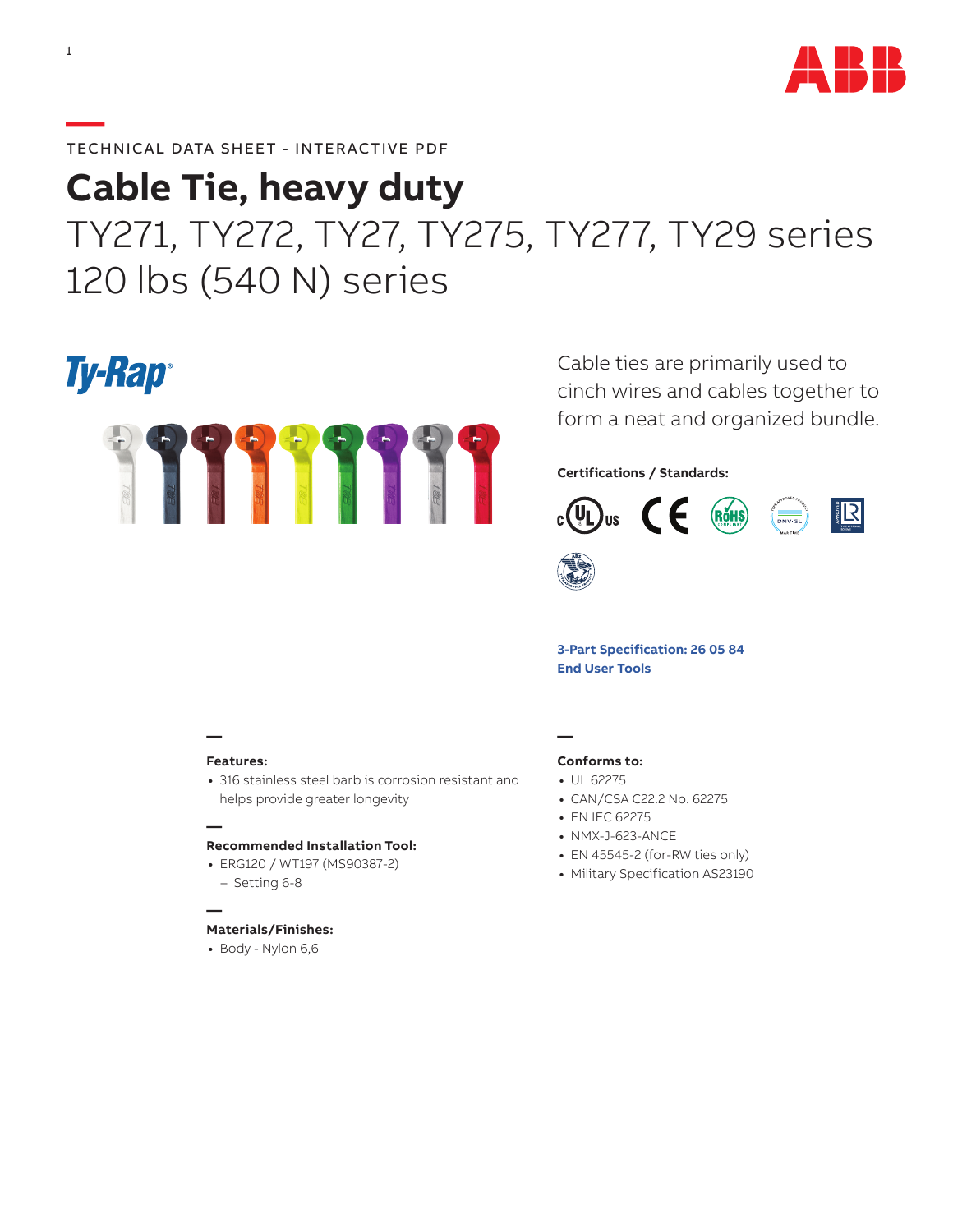

### **—**TECHNICAL DATA SHEET - INTERACTIVE PDF

# **Cable Tie, heavy duty** TY271, TY272, TY27, TY275, TY277, TY29 series 120 lbs (540 N) series

## **Ty-Rap**®



Cable ties are primarily used to cinch wires and cables together to form a neat and organized bundle.

#### **Certifications / Standards:**



**[3-Part Specification: 26 05 84](http://www-public.tnb.com/ps/pubint/specguide.cgi) [End User Tools](http://tnb.abb.com/pub/en/node/258)**

## **—**

**—**

**—**

#### **Features:**

**•** 316 stainless steel barb is corrosion resistant and helps provide greater longevity

#### **Recommended Installation Tool:**

**•** ERG120 / WT197 (MS90387-2) – Setting 6-8

#### **Materials/Finishes:**

**•** Body - Nylon 6,6

### **—**

#### **Conforms to:**

- **•** UL 62275
- **•** CAN/CSA C22.2 No. 62275
- **•** EN IEC 62275
- **•** NMX-J-623-ANCE
- **•** EN 45545-2 (for-RW ties only)
- **•** Military Specification AS23190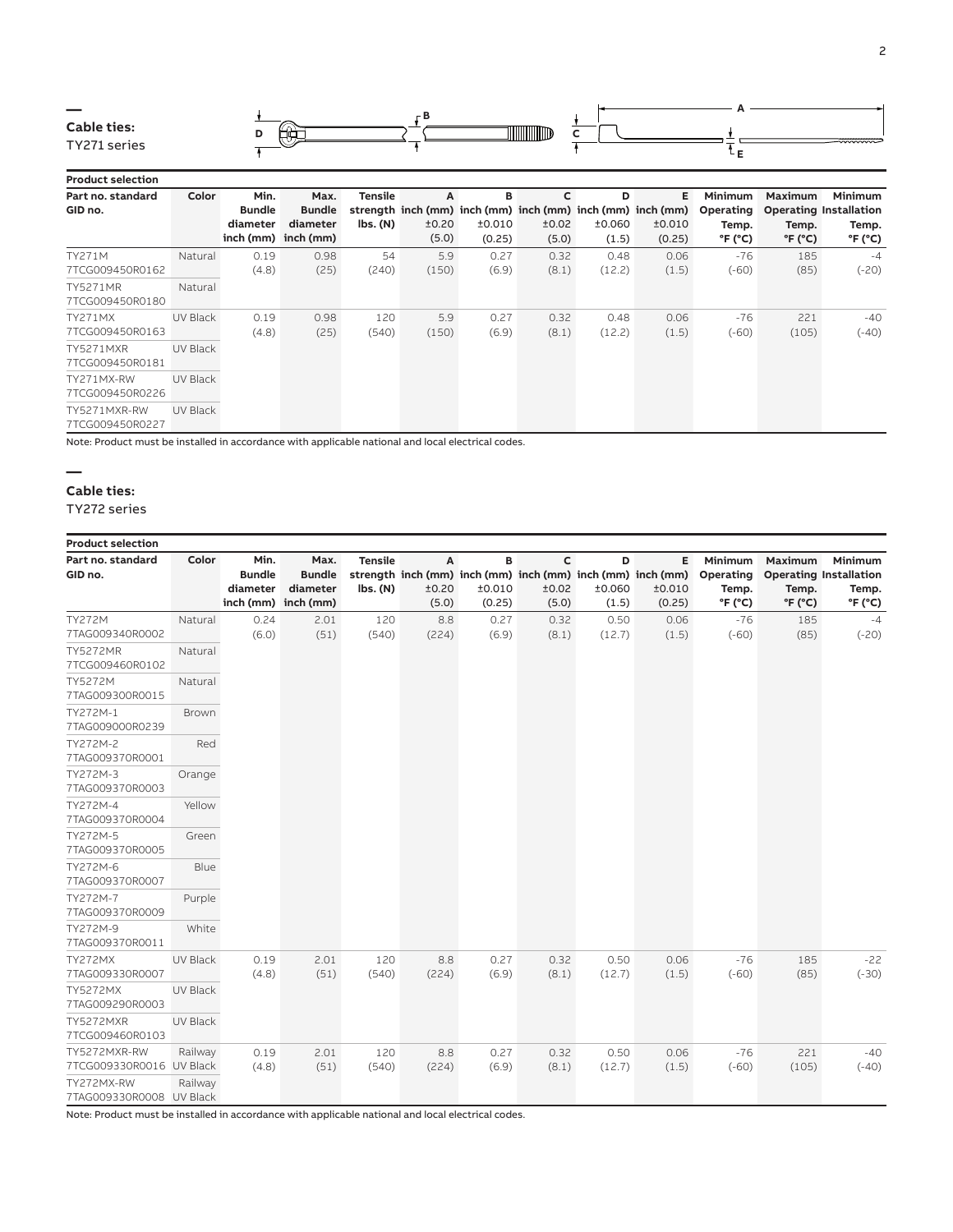

**D** ±0.060 (1.5)

> 0.48 (12.2)

> 0.48 (12.2)

**E**

**Minimum Operating Temp. °F (°C)**

> -76 (-60)

> -76 (-60)

**Maximum**

**Operating Installation Temp. °F (°C)**

> 185 (85)

221 (105) **Minimum Temp. °F (°C)**

> -4 (-20)

-40 (-40)

±0.010 (0.25)

> 0.06 (1.5)

0.06 (1.5)

#### **Product selection Part no. standard GID no. Color Min. Bundle diameter inch (mm) inch (mm) Max. Bundle diameter Tensile strength inch (mm) inch (mm) inch (mm) inch (mm) inch (mm) lbs. (N) A** ±0.20 (5.0) **B** ±0.010 (0.25) **C** ±0.02 (5.0) TY271M 7TCG009450R0162 Natural 0.19 (4.8) 0.98 (25) 54 (240) 5.9 (150) 0.27 (6.9) 0.32 (8.1) TY5271MR 7TCG009450R0180 Natural TY271MX 7TCG009450R0163 UV Black 0.19 (4.8) 0.98 (25) 120 (540) 5.9 (150) 0.27 (6.9) 0.32 (8.1) TY5271MXR 7TCG009450R0181 UV Black TY271MX-RW 7TCG009450R0226 UV Black TY5271MXR-RW UV Black

7TCG009450R0227

Note: Product must be installed in accordance with applicable national and local electrical codes.

#### **—**

#### **Cable ties:**

TY272 series

| <b>Product selection</b>                 |                 |                                   |                                                          |                                                          |                     |                       |                                                                                              |                      |                       |                                                             |                                                |                                                                                 |
|------------------------------------------|-----------------|-----------------------------------|----------------------------------------------------------|----------------------------------------------------------|---------------------|-----------------------|----------------------------------------------------------------------------------------------|----------------------|-----------------------|-------------------------------------------------------------|------------------------------------------------|---------------------------------------------------------------------------------|
| Part no. standard<br>GID no.             | Color           | Min.<br><b>Bundle</b><br>diameter | Max.<br><b>Bundle</b><br>diameter<br>inch (mm) inch (mm) | <b>Tensile</b><br>$\mathsf{lbs.}\left(\mathsf{N}\right)$ | A<br>±0.20<br>(5.0) | в<br>±0.010<br>(0.25) | $\mathsf{C}$<br>strength inch (mm) inch (mm) inch (mm) inch (mm) inch (mm)<br>±0.02<br>(5.0) | D<br>±0.060<br>(1.5) | Е<br>±0.010<br>(0.25) | Minimum<br>Operating<br>Temp.<br>$\degree$ F ( $\degree$ C) | Maximum<br>Temp.<br>$\degree$ F ( $\degree$ C) | Minimum<br><b>Operating Installation</b><br>Temp.<br>$\degree$ F ( $\degree$ C) |
| TY272M<br>7TAG009340R0002                | Natural         | 0.24<br>(6.0)                     | 2.01<br>(51)                                             | 120<br>(540)                                             | 8.8<br>(224)        | 0.27<br>(6.9)         | 0.32<br>(8.1)                                                                                | 0.50<br>(12.7)       | 0.06<br>(1.5)         | $-76$<br>$(-60)$                                            | 185<br>(85)                                    | $-4$<br>$(-20)$                                                                 |
| <b>TY5272MR</b><br>7TCG009460R0102       | Natural         |                                   |                                                          |                                                          |                     |                       |                                                                                              |                      |                       |                                                             |                                                |                                                                                 |
| TY5272M<br>7TAG009300R0015               | Natural         |                                   |                                                          |                                                          |                     |                       |                                                                                              |                      |                       |                                                             |                                                |                                                                                 |
| TY272M-1<br>7TAG009000R0239              | Brown           |                                   |                                                          |                                                          |                     |                       |                                                                                              |                      |                       |                                                             |                                                |                                                                                 |
| TY272M-2<br>7TAG009370R0001              | Red             |                                   |                                                          |                                                          |                     |                       |                                                                                              |                      |                       |                                                             |                                                |                                                                                 |
| TY272M-3<br>7TAG009370R0003              | Orange          |                                   |                                                          |                                                          |                     |                       |                                                                                              |                      |                       |                                                             |                                                |                                                                                 |
| TY272M-4<br>7TAG009370R0004              | Yellow          |                                   |                                                          |                                                          |                     |                       |                                                                                              |                      |                       |                                                             |                                                |                                                                                 |
| TY272M-5<br>7TAG009370R0005              | Green           |                                   |                                                          |                                                          |                     |                       |                                                                                              |                      |                       |                                                             |                                                |                                                                                 |
| TY272M-6<br>7TAG009370R0007              | Blue            |                                   |                                                          |                                                          |                     |                       |                                                                                              |                      |                       |                                                             |                                                |                                                                                 |
| TY272M-7<br>7TAG009370R0009              | Purple          |                                   |                                                          |                                                          |                     |                       |                                                                                              |                      |                       |                                                             |                                                |                                                                                 |
| TY272M-9<br>7TAG009370R0011              | White           |                                   |                                                          |                                                          |                     |                       |                                                                                              |                      |                       |                                                             |                                                |                                                                                 |
| <b>TY272MX</b><br>7TAG009330R0007        | UV Black        | 0.19<br>(4.8)                     | 2.01<br>(51)                                             | 120<br>(540)                                             | 8.8<br>(224)        | 0.27<br>(6.9)         | 0.32<br>(8.1)                                                                                | 0.50<br>(12.7)       | 0.06<br>(1.5)         | $-76$<br>$(-60)$                                            | 185<br>(85)                                    | $-22$<br>$(-30)$                                                                |
| <b>TY5272MX</b><br>7TAG009290R0003       | <b>UV Black</b> |                                   |                                                          |                                                          |                     |                       |                                                                                              |                      |                       |                                                             |                                                |                                                                                 |
| <b>TY5272MXR</b><br>7TCG009460R0103      | <b>UV Black</b> |                                   |                                                          |                                                          |                     |                       |                                                                                              |                      |                       |                                                             |                                                |                                                                                 |
| TY5272MXR-RW<br>7TCG009330R0016 UV Black | Railway         | 0.19<br>(4.8)                     | 2.01<br>(51)                                             | 120<br>(540)                                             | 8.8<br>(224)        | 0.27<br>(6.9)         | 0.32<br>(8.1)                                                                                | 0.50<br>(12.7)       | 0.06<br>(1.5)         | $-76$<br>$(-60)$                                            | 221<br>(105)                                   | $-40$<br>$(-40)$                                                                |
| TY272MX-RW<br>7TAG009330R0008 UV Black   | Railway         |                                   |                                                          |                                                          |                     |                       |                                                                                              |                      |                       |                                                             |                                                |                                                                                 |

Note: Product must be installed in accordance with applicable national and local electrical codes.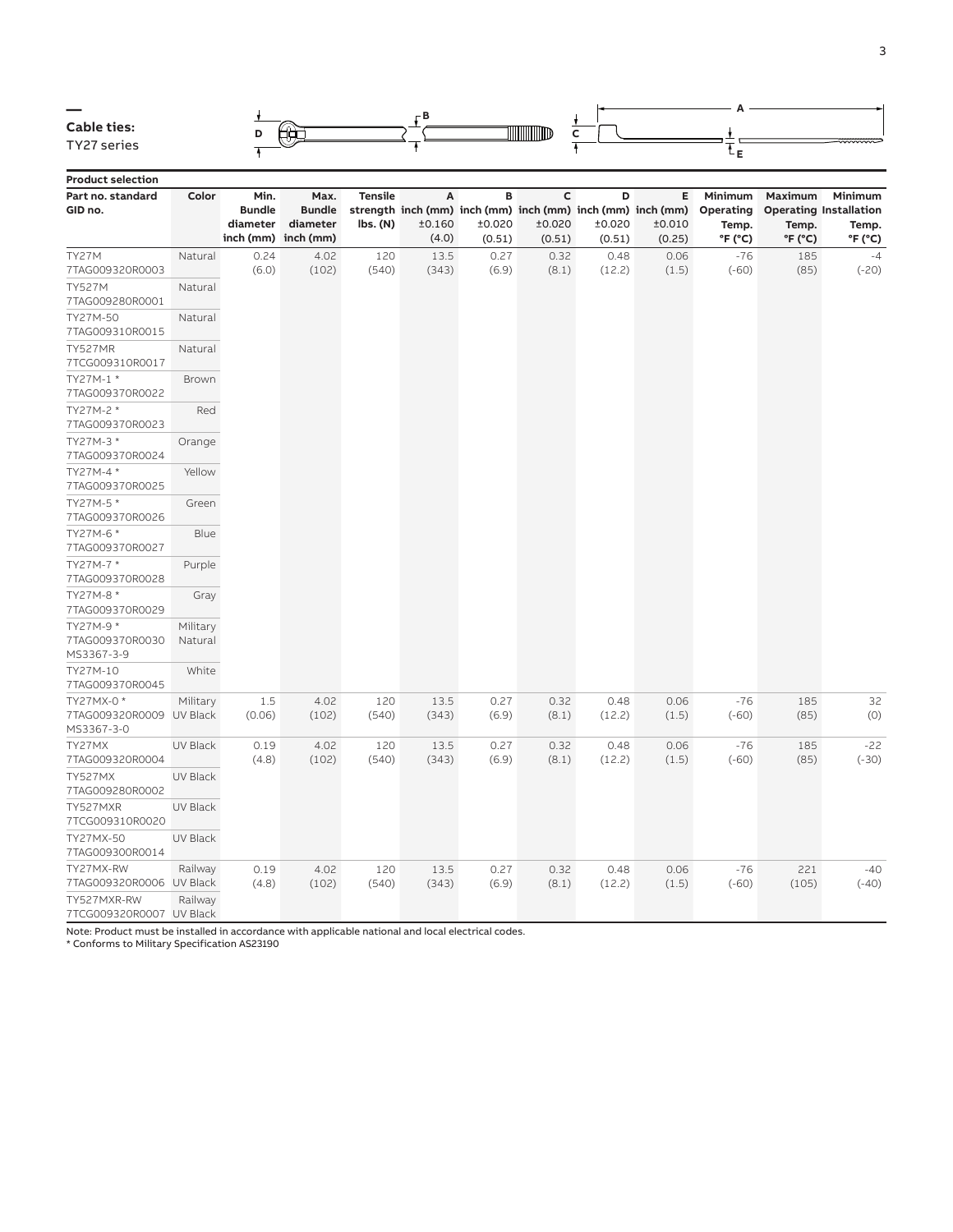

**Product selection**

| Part no. standard<br>GID no.                         | Color               | Min.<br><b>Bundle</b><br>diameter | Max.<br><b>Bundle</b><br>diameter<br>inch (mm) inch (mm) | <b>Tensile</b><br>lbs. (N) | А<br>±0.160<br>(4.0) | B<br>±0.020<br>(0.51) | $\mathsf{C}$<br>strength inch (mm) inch (mm) inch (mm) inch (mm) inch (mm)<br>±0.020<br>(0.51) | D<br>±0.020<br>(0.51) | E<br>±0.010<br>(0.25) | Minimum<br>Operating<br>Temp.<br>°F (°C) | Maximum<br>Temp.<br>$\mathrm{P}F$ ( $\mathrm{C}$ ) | Minimum<br><b>Operating Installation</b><br>Temp.<br>°F (°C) |
|------------------------------------------------------|---------------------|-----------------------------------|----------------------------------------------------------|----------------------------|----------------------|-----------------------|------------------------------------------------------------------------------------------------|-----------------------|-----------------------|------------------------------------------|----------------------------------------------------|--------------------------------------------------------------|
| TY27M<br>7TAG009320R0003                             | Natural             | 0.24<br>(6.0)                     | 4.02<br>(102)                                            | 120<br>(540)               | 13.5<br>(343)        | 0.27<br>(6.9)         | 0.32<br>(8.1)                                                                                  | 0.48<br>(12.2)        | 0.06<br>(1.5)         | $-76$<br>$(-60)$                         | 185<br>(85)                                        | $-4$<br>$(-20)$                                              |
| <b>TY527M</b><br>7TAG009280R0001                     | Natural             |                                   |                                                          |                            |                      |                       |                                                                                                |                       |                       |                                          |                                                    |                                                              |
| TY27M-50<br>7TAG009310R0015                          | Natural             |                                   |                                                          |                            |                      |                       |                                                                                                |                       |                       |                                          |                                                    |                                                              |
| TY527MR<br>7TCG009310R0017                           | Natural             |                                   |                                                          |                            |                      |                       |                                                                                                |                       |                       |                                          |                                                    |                                                              |
| TY27M-1 *<br>7TAG009370R0022                         | <b>Brown</b>        |                                   |                                                          |                            |                      |                       |                                                                                                |                       |                       |                                          |                                                    |                                                              |
| TY27M-2 *<br>7TAG009370R0023                         | Red                 |                                   |                                                          |                            |                      |                       |                                                                                                |                       |                       |                                          |                                                    |                                                              |
| TY27M-3 *<br>7TAG009370R0024                         | Orange              |                                   |                                                          |                            |                      |                       |                                                                                                |                       |                       |                                          |                                                    |                                                              |
| TY27M-4 *<br>7TAG009370R0025                         | Yellow              |                                   |                                                          |                            |                      |                       |                                                                                                |                       |                       |                                          |                                                    |                                                              |
| TY27M-5 *<br>7TAG009370R0026                         | Green               |                                   |                                                          |                            |                      |                       |                                                                                                |                       |                       |                                          |                                                    |                                                              |
| TY27M-6 *<br>7TAG009370R0027                         | Blue                |                                   |                                                          |                            |                      |                       |                                                                                                |                       |                       |                                          |                                                    |                                                              |
| TY27M-7 *<br>7TAG009370R0028                         | Purple              |                                   |                                                          |                            |                      |                       |                                                                                                |                       |                       |                                          |                                                    |                                                              |
| TY27M-8 *<br>7TAG009370R0029                         | Gray                |                                   |                                                          |                            |                      |                       |                                                                                                |                       |                       |                                          |                                                    |                                                              |
| TY27M-9 *<br>7TAG009370R0030<br>MS3367-3-9           | Military<br>Natural |                                   |                                                          |                            |                      |                       |                                                                                                |                       |                       |                                          |                                                    |                                                              |
| TY27M-10<br>7TAG009370R0045                          | White               |                                   |                                                          |                            |                      |                       |                                                                                                |                       |                       |                                          |                                                    |                                                              |
| TY27MX-0 *<br>7TAG009320R0009 UV Black<br>MS3367-3-0 | Military            | 1.5<br>(0.06)                     | 4.02<br>(102)                                            | 120<br>(540)               | 13.5<br>(343)        | 0.27<br>(6.9)         | 0.32<br>(8.1)                                                                                  | 0.48<br>(12.2)        | 0.06<br>(1.5)         | $-76$<br>$(-60)$                         | 185<br>(85)                                        | 32<br>(0)                                                    |
| TY27MX<br>7TAG009320R0004                            | UV Black            | 0.19<br>(4.8)                     | 4.02<br>(102)                                            | 120<br>(540)               | 13.5<br>(343)        | 0.27<br>(6.9)         | 0.32<br>(8.1)                                                                                  | 0.48<br>(12.2)        | 0.06<br>(1.5)         | $-76$<br>$(-60)$                         | 185<br>(85)                                        | $-22$<br>$(-30)$                                             |
| TY527MX<br>7TAG009280R0002                           | UV Black            |                                   |                                                          |                            |                      |                       |                                                                                                |                       |                       |                                          |                                                    |                                                              |
| TY527MXR<br>7TCG009310R0020                          | UV Black            |                                   |                                                          |                            |                      |                       |                                                                                                |                       |                       |                                          |                                                    |                                                              |
| TY27MX-50<br>7TAG009300R0014                         | UV Black            |                                   |                                                          |                            |                      |                       |                                                                                                |                       |                       |                                          |                                                    |                                                              |
| TY27MX-RW<br>7TAG009320R0006 UV Black<br>TY527MXR-RW | Railway<br>Railway  | 0.19<br>(4.8)                     | 4.02<br>(102)                                            | 120<br>(540)               | 13.5<br>(343)        | 0.27<br>(6.9)         | 0.32<br>(8.1)                                                                                  | 0.48<br>(12.2)        | 0.06<br>(1.5)         | $-76$<br>$(-60)$                         | 221<br>(105)                                       | $-40$<br>$(-40)$                                             |
| 7TCG009320R0007 UV Black                             |                     |                                   |                                                          |                            |                      |                       |                                                                                                |                       |                       |                                          |                                                    |                                                              |

Note: Product must be installed in accordance with applicable national and local electrical codes. \* Conforms to Military Specification AS23190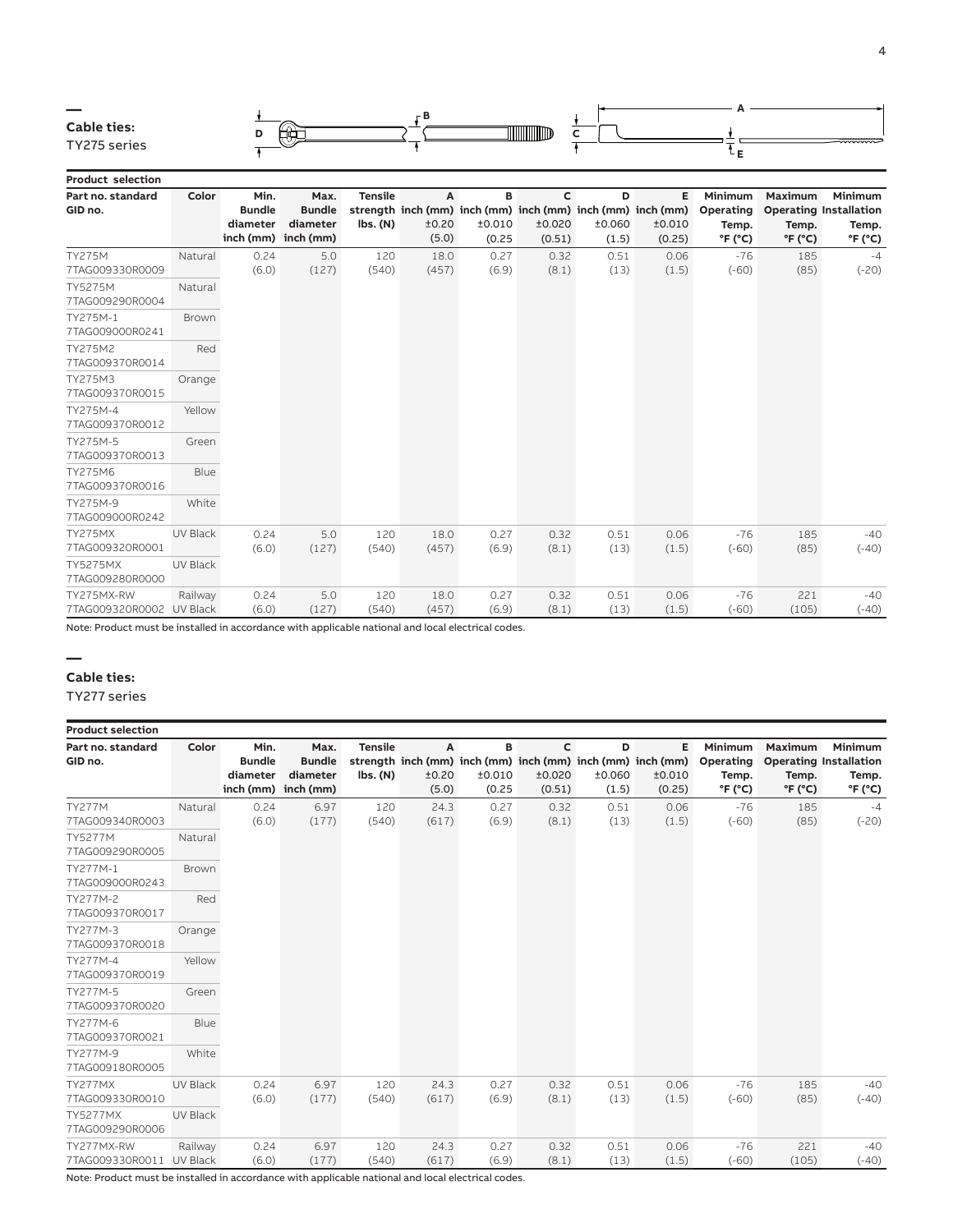

**Product selection Part no. standard GID no. Color Min. Bundle diameter inch (mm) inch (mm) Max. Bundle diameter Tensile strength inch (mm) inch (mm) inch (mm) inch (mm) inch (mm) lbs. (N) A** ±0.20 (5.0) **B** ±0.010 (0.25 **C** ±0.020 (0.51) **D** ±0.060 (1.5) **E** ±0.010 (0.25) **Minimum Operating Temp. °F (°C) Maximum Operating Installation**  TY275M 7TAG009330R0009 Natural 0.24 (6.0) 5.0 (127) 120 (540) 18.0 (457) 0.27 (6.9) 0.32 (8.1) 0.51 (13) 0.06 (1.5) -76 (-60) TY5275M 7TAG009290R0004 Natural TY275M-1 7TAG009000R0241 Brown TY275M2 7TAG009370R0014 Red TY275M3 7TAG009370R0015 Orange TY275M-4 7TAG009370R0012 Yellow TY275M-5 7TAG009370R0013 Green TY275M6 7TAG009370R0016 Blue TY275M-9 7TAG009000R0242 White TY275MX 7TAG009320R0001 UV Black 0.24 (6.0) 5.0 (127) 120 (540) 18.0 (457) 0.27 (6.9) 0.32 (8.1) 0.51 (13) 0.06 (1.5) -76 (-60) TY5275MX 7TAG009280R0000 UV Black TY275MX-RW Railway 0.24 5.0 120 18.0 0.27 0.32 0.51 0.06 -76

Note: Product must be installed in accordance with applicable national and local electrical codes.

(127)

(540)

(457)

(6.9)

(8.1)

(13)

(1.5)

(-60)

(6.0)

#### **— Cable ties:**

TY277 series

7TAG009320R0002 UV Black

| <b>Product selection</b>           |                            |                                   |                                                          |                            |                     |                       |                                  |                      |                                                                                     |                                                             |                                                |                                                                                |
|------------------------------------|----------------------------|-----------------------------------|----------------------------------------------------------|----------------------------|---------------------|-----------------------|----------------------------------|----------------------|-------------------------------------------------------------------------------------|-------------------------------------------------------------|------------------------------------------------|--------------------------------------------------------------------------------|
| Part no. standard<br>GID no.       | Color                      | Min.<br><b>Bundle</b><br>diameter | Max.<br><b>Bundle</b><br>diameter<br>inch (mm) inch (mm) | <b>Tensile</b><br>lbs. (N) | A<br>±0.20<br>(5.0) | в<br>±0.010<br>(0.25) | $\mathsf{C}$<br>±0.020<br>(0.51) | D<br>±0.060<br>(1.5) | Е<br>strength inch (mm) inch (mm) inch (mm) inch (mm) inch (mm)<br>±0.010<br>(0.25) | Minimum<br>Operating<br>Temp.<br>$\degree$ F ( $\degree$ C) | Maximum<br>Temp.<br>$\degree$ F ( $\degree$ C) | <b>Minimum</b><br><b>Operating Installation</b><br>Temp.<br>$\mathrm{P}F$ (°C) |
| <b>TY277M</b><br>7TAG009340R0003   | Natural                    | 0.24<br>(6.0)                     | 6.97<br>(177)                                            | 120<br>(540)               | 24.3<br>(617)       | 0.27<br>(6.9)         | 0.32<br>(8.1)                    | 0.51<br>(13)         | 0.06<br>(1.5)                                                                       | $-76$<br>$(-60)$                                            | 185<br>(85)                                    | $-4$<br>$(-20)$                                                                |
| <b>TY5277M</b><br>7TAG009290R0005  | Natural                    |                                   |                                                          |                            |                     |                       |                                  |                      |                                                                                     |                                                             |                                                |                                                                                |
| TY277M-1<br>7TAG009000R0243        | <b>Brown</b>               |                                   |                                                          |                            |                     |                       |                                  |                      |                                                                                     |                                                             |                                                |                                                                                |
| TY277M-2<br>7TAG009370R0017        | Red                        |                                   |                                                          |                            |                     |                       |                                  |                      |                                                                                     |                                                             |                                                |                                                                                |
| TY277M-3<br>7TAG009370R0018        | Orange                     |                                   |                                                          |                            |                     |                       |                                  |                      |                                                                                     |                                                             |                                                |                                                                                |
| TY277M-4<br>7TAG009370R0019        | Yellow                     |                                   |                                                          |                            |                     |                       |                                  |                      |                                                                                     |                                                             |                                                |                                                                                |
| TY277M-5<br>7TAG009370R0020        | Green                      |                                   |                                                          |                            |                     |                       |                                  |                      |                                                                                     |                                                             |                                                |                                                                                |
| TY277M-6<br>7TAG009370R0021        | Blue                       |                                   |                                                          |                            |                     |                       |                                  |                      |                                                                                     |                                                             |                                                |                                                                                |
| TY277M-9<br>7TAG009180R0005        | White                      |                                   |                                                          |                            |                     |                       |                                  |                      |                                                                                     |                                                             |                                                |                                                                                |
| TY277MX<br>7TAG009330R0010         | UV Black                   | 0.24<br>(6.0)                     | 6.97<br>(177)                                            | 120<br>(540)               | 24.3<br>(617)       | 0.27<br>(6.9)         | 0.32<br>(8.1)                    | 0.51<br>(13)         | 0.06<br>(1.5)                                                                       | $-76$<br>$(-60)$                                            | 185<br>(85)                                    | $-40$<br>$(-40)$                                                               |
| <b>TY5277MX</b><br>7TAG009290R0006 | UV Black                   |                                   |                                                          |                            |                     |                       |                                  |                      |                                                                                     |                                                             |                                                |                                                                                |
| TY277MX-RW<br>7TAG009330R0011      | Railway<br><b>UV Black</b> | 0.24<br>(6.0)                     | 6.97<br>(177)                                            | 120<br>(540)               | 24.3<br>(617)       | 0.27<br>(6.9)         | 0.32<br>(8.1)                    | 0.51<br>(13)         | 0.06<br>(1.5)                                                                       | $-76$<br>$(-60)$                                            | 221<br>(105)                                   | $-40$<br>$(-40)$                                                               |

Note: Product must be installed in accordance with applicable national and local electrical codes.

**Minimum Temp. °F (°C)**

> -4 (-20)

-40 (-40)

-40 (-40)

**Temp. °F (°C)**

> 185 (85)

> 185 (85)

221 (105)